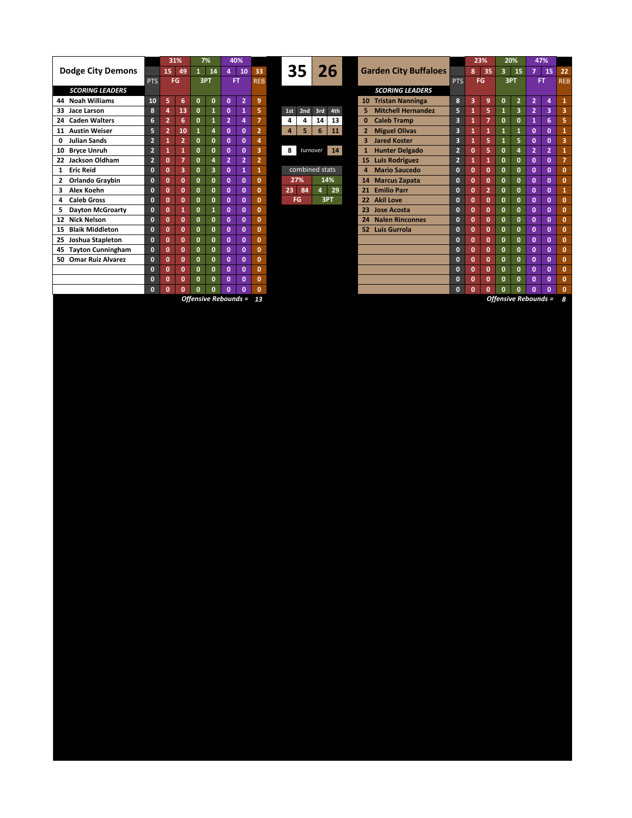|                                        |                | 31%            |                | 7%           |              | 40%            |                |                |     |                |          |     |                        |                              |                           |                         | 23%          |              | 20%                     |                | 47%            |                |                |
|----------------------------------------|----------------|----------------|----------------|--------------|--------------|----------------|----------------|----------------|-----|----------------|----------|-----|------------------------|------------------------------|---------------------------|-------------------------|--------------|--------------|-------------------------|----------------|----------------|----------------|----------------|
| <b>Dodge City Demons</b>               |                | 15<br>49       |                | $\mathbf{1}$ | 14           | 4              | 10             | 33             |     | 35 I           |          | 26  |                        | <b>Garden City Buffaloes</b> |                           |                         | 8            | 35           | $\overline{\mathbf{3}}$ | 15             | 7              | 15             | 2 <sub>i</sub> |
|                                        | <b>PTS</b>     | FG             |                | 3PT          |              | <b>FT</b>      |                | <b>REB</b>     |     |                |          |     |                        |                              |                           |                         | <b>FG</b>    |              | 3PT                     |                | FT             |                | <b>RE</b>      |
| <b>SCORING LEADERS</b>                 |                |                |                |              |              |                |                |                |     |                |          |     | <b>SCORING LEADERS</b> |                              |                           |                         |              |              |                         |                |                |                |                |
| <b>Noah Williams</b><br>44             | 10             | 5              | 6              | $\mathbf{0}$ | $\mathbf{0}$ | $\mathbf{0}$   | $\overline{2}$ | 9              |     |                |          |     |                        | 10                           | <b>Tristan Nanninga</b>   | 8                       | 3            | 9            | $\mathbf{0}$            | $\overline{2}$ | $\overline{2}$ | 4              |                |
| Jace Larson<br>33                      | 8              | 4              | 13             | $\mathbf{0}$ | 1            | $\mathbf{0}$   | 1              | 5.             | 1st | 2nd            |          | 3rd | 4th                    | 5                            | <b>Mitchell Hernandez</b> | 5                       | 1            | 5            |                         | 3              | $\overline{2}$ | 3              |                |
| 24 Caden Walters                       | 6              | $\overline{2}$ | 6              | $\mathbf{0}$ | 1            | $\overline{a}$ | 4              | $\overline{7}$ | 4   | 4              |          | 14  | 13                     | $\bf{0}$                     | <b>Caleb Tramp</b>        | $\overline{\mathbf{3}}$ | 1            | 7            | $\mathbf{0}$            | 0              | $\mathbf{1}$   | 6              |                |
| <b>Austin Weiser</b><br>11             | 5              | $\overline{2}$ | 10             | $\mathbf{1}$ | 4            | $\mathbf 0$    | $\mathbf{0}$   | $\overline{2}$ | 4   | 5              |          | 6   | 11                     |                              | <b>Miguel Olivas</b>      | 3                       | 1            | 1            |                         |                | $\mathbf{0}$   | $\mathbf{0}$   |                |
| <b>Julian Sands</b><br>0               | $\overline{2}$ |                | $2^{\circ}$    | $\mathbf{0}$ | $\mathbf{0}$ | $\mathbf 0$    | $\mathbf{0}$   | 4              |     |                |          |     |                        | 3                            | <b>Jared Koster</b>       | $\overline{\mathbf{3}}$ | 1            | 5            |                         | 5.             | $\mathbf{0}$   | $\mathbf{0}$   |                |
| <b>Bryce Unruh</b><br>10               | $\overline{2}$ |                | 1              | $\mathbf{0}$ | $\mathbf{0}$ | $\mathbf 0$    | $\mathbf{0}$   | 3              | 8   |                | turnover |     | 14                     |                              | <b>Hunter Delgado</b>     | $\overline{2}$          | $\mathbf{0}$ | 5            | O                       | 4              | $\overline{2}$ | $\overline{2}$ |                |
| 22 Jackson Oldham                      | $\overline{2}$ | $\Omega$       | $\overline{ }$ | $\mathbf{0}$ | 4            | $\overline{2}$ | $\overline{2}$ | $\overline{2}$ |     |                |          |     |                        |                              | 15 Luis Rodriguez         | $\overline{2}$          | 1            | 1            | O                       | o              | O              | $\mathbf{0}$   |                |
| <b>Eric Reid</b><br>1                  | $\bf{0}$       | $\Omega$       | 3              | $\mathbf{0}$ | 3            | $\mathbf 0$    | 1              | $\mathbf{1}$   |     | combined stats |          |     |                        | 4                            | <b>Mario Saucedo</b>      | $\mathbf{0}$            | $\mathbf{0}$ | $\mathbf{0}$ | O                       | O.             | $\mathbf{0}$   | $\mathbf{0}$   |                |
| Orlando Graybin                        | $\mathbf{0}$   | $\mathbf{0}$   | 0              | $\mathbf{0}$ | $\mathbf{0}$ | $\mathbf{0}$   | $\mathbf{0}$   | $\mathbf{0}$   |     | 27%            |          | 14% |                        | 14                           | <b>Marcus Zapata</b>      | $\mathbf{0}$            | $\mathbf{0}$ | $\mathbf{0}$ | O                       | 0              | $\mathbf{0}$   | $\mathbf{0}$   |                |
| Alex Koehn                             | $\bf{0}$       | $\mathbf{0}$   | Ō              | $\mathbf{0}$ | $\mathbf{0}$ | $\mathbf 0$    | $\mathbf{0}$   | $\mathbf{0}$   | 23  | 84             |          | 4   | 29                     |                              | 21 Emilio Parr            | $\mathbf{0}$            | $\mathbf{0}$ | Þ.           | $\mathbf{0}$            | $\Omega$       | $\mathbf{0}$   | $\mathbf{0}$   |                |
| <b>Caleb Gross</b><br>4                | $\mathbf{0}$   | $\Omega$       | Ō              | $\mathbf{0}$ | O            | $\mathbf 0$    | $\mathbf{0}$   | $\mathbf{0}$   |     | FG             |          | 3PT |                        |                              | 22 Akil Love              | $\mathbf{0}$            | $\mathbf{0}$ | $\mathbf{0}$ | O                       | $\Omega$       | $\mathbf{0}$   | $\mathbf{0}$   |                |
| <b>Dayton McGroarty</b><br>5.          | $\mathbf{0}$   | 0              |                | $\mathbf{0}$ | -1           | $\mathbf{0}$   | $\mathbf{0}$   | 0              |     |                |          |     |                        |                              | 23 Jose Acosta            | $\mathbf{0}$            | $\mathbf{0}$ | $\mathbf{0}$ | O                       | 0              | O              | $\mathbf{0}$   |                |
| <b>Nick Nelson</b><br>12 <sup>12</sup> | $\bf{0}$       | $\Omega$       | Ō              | $\mathbf{0}$ | $\mathbf{0}$ | $\mathbf{0}$   | $\mathbf{0}$   | $\mathbf{0}$   |     |                |          |     |                        | 24                           | <b>Nalen Rinconnes</b>    | $\mathbf{0}$            | $\mathbf{0}$ | $\mathbf{0}$ | O                       | O.             | $\mathbf{0}$   | $\mathbf{0}$   |                |
| <b>Blaik Middleton</b><br>15           | $\mathbf{0}$   | $\mathbf{0}$   | $\mathbf{0}$   | $\mathbf{0}$ | $\mathbf{0}$ | $\mathbf 0$    | $\mathbf{0}$   | $\mathbf{0}$   |     |                |          |     |                        |                              | 52 Luis Gurrola           | $\mathbf{0}$            | $\mathbf{0}$ | $\mathbf 0$  | $\mathbf{0}$            | O.             | $\mathbf{0}$   | $\mathbf{0}$   |                |
| Joshua Stapleton<br>25                 | $\mathbf{0}$   | $\mathbf{0}$   | 0              | $\mathbf{0}$ | $\mathbf{0}$ | $\mathbf{0}$   | $\mathbf{0}$   | $\mathbf{0}$   |     |                |          |     |                        |                              |                           | $\mathbf{0}$            | $\mathbf{0}$ | $\mathbf{0}$ | 0                       | O.             | $\mathbf{0}$   | $\mathbf{0}$   |                |
| <b>Tayton Cunningham</b><br>45         | $\bf{0}$       | $\mathbf{0}$   | O              | $\mathbf{0}$ | $\mathbf{0}$ | $\mathbf 0$    | $\mathbf{0}$   | $\mathbf{0}$   |     |                |          |     |                        |                              |                           | $\mathbf{0}$            | $\mathbf{0}$ | $\mathbf{0}$ | $\Omega$                | o              | $\mathbf{0}$   | $\mathbf{0}$   |                |
| 50 Omar Ruiz Alvarez                   | $\mathbf{0}$   | $\Omega$       | O              | $\mathbf{0}$ | $\mathbf{0}$ | $\mathbf{0}$   | $\mathbf{0}$   | $\mathbf{0}$   |     |                |          |     |                        |                              |                           | $\mathbf{0}$            | $\mathbf{0}$ | $\mathbf{0}$ | O                       | 0              | $\mathbf{0}$   | $\mathbf{0}$   |                |
|                                        | $\mathbf{0}$   | $\Omega$       | Ō              | $\mathbf{0}$ | $\mathbf{0}$ | $\mathbf{0}$   | $\mathbf{0}$   | $\mathbf{0}$   |     |                |          |     |                        |                              |                           | $\mathbf{0}$            | $\mathbf{0}$ | $\mathbf{0}$ | 0                       | 0              | $\mathbf{0}$   | $\mathbf{0}$   |                |
|                                        | 0              | O              | O              | $\mathbf{0}$ | $\Omega$     | $\mathbf{0}$   | $\mathbf{0}$   | $\mathbf{0}$   |     |                |          |     |                        |                              |                           | $\bf{0}$                | $\mathbf{0}$ | $\mathbf{0}$ |                         | n              | $\mathbf{0}$   | $\mathbf{0}$   |                |
|                                        | $\sqrt{ }$     | $\mathbf{a}$   | $\overline{a}$ | $\mathbf{r}$ | $\mathbf{r}$ | $\sqrt{2}$     | $\sqrt{2}$     | $\sqrt{2}$     |     |                |          |     |                        |                              |                           | $\sqrt{ }$              | $\sqrt{ }$   | $\sqrt{2}$   | $\mathbf{a}$            | n.             | $\sqrt{2}$     | $\sqrt{2}$     |                |





|                |                      | 31%            | 7%             |              | 40%            |                |                |  |                |           |       |     |    |                      |                              |                | 23%                  |                | 20%          |                  | 47%                  |                |                |
|----------------|----------------------|----------------|----------------|--------------|----------------|----------------|----------------|--|----------------|-----------|-------|-----|----|----------------------|------------------------------|----------------|----------------------|----------------|--------------|------------------|----------------------|----------------|----------------|
|                | 15                   | 49             | $\blacksquare$ | 14           | 4              | 10             | 33             |  |                |           | 35 26 |     |    |                      | <b>Garden City Buffaloes</b> |                | 8                    | 35             |              | 15               | $\overline{7}$<br>15 |                | 22             |
| <b>PTS</b>     |                      | FG             |                | 3PT          |                | FT.            | <b>REB</b>     |  |                |           |       |     |    |                      | <b>PTS</b>                   | FG             |                      |                | 3PT          | FT.              |                      | <b>REB</b>     |                |
|                |                      |                |                |              |                |                |                |  |                |           |       |     |    |                      | <b>SCORING LEADERS</b>       |                |                      |                |              |                  |                      |                |                |
| 10             | 5                    | 6              | n              | $\mathbf{0}$ | $\mathbf{0}$   | $\overline{2}$ | 9              |  |                |           |       |     |    | 10                   | <b>Tristan Nanninga</b>      | 8              | 3                    | 9              | $\mathbf{0}$ | $\overline{2}$   | $\overline{2}$       | 4              | $\mathbf{1}$   |
| 8              | 4                    | 13             | 0              | $\mathbf{1}$ | $\mathbf 0$    | 1              | 5              |  | 1st            | 2nd       | 3rd   | 4th |    | 5                    | <b>Mitchell Hernandez</b>    | 5              | 1                    | 5              |              | 3                | $\overline{2}$       | 3              | 3              |
| 6              | $\overline{2}$       | 6              | 0              | $\mathbf{1}$ | $\overline{2}$ | 4              | 7              |  | 4              | 4         | 14    | 13  |    | $\bf{0}$             | <b>Caleb Tramp</b>           | 3              | 1                    | $\overline{7}$ | $\mathbf{0}$ | $\mathbf{0}$     | $\mathbf{1}$         | 6              | 5              |
| 5              | $\overline{2}$       | 10             | 1              | 4            | $\mathbf{0}$   | 0              | $\overline{2}$ |  | 4              | 5         | 6     | 11  |    | 2                    | <b>Miguel Olivas</b>         | 3              | 1                    | 1              | 1            | $\mathbf{1}$     | $\mathbf{0}$         | $\mathbf{0}$   | 1              |
| $\overline{2}$ | 1                    | $\overline{2}$ | 0              | 0            | $\mathbf{0}$   | $\mathbf{0}$   | 4              |  |                |           |       |     |    | з                    | <b>Jared Koster</b>          | 3              | 1                    | 5              | 1            | 5                | $\mathbf{0}$         | $\mathbf{0}$   | 3              |
| $\overline{2}$ | 1                    | $\mathbf{1}$   | O              | 0            | $\mathbf{0}$   | $\mathbf{0}$   | 3              |  | 8              | turnover  |       | 14  |    | 1                    | <b>Hunter Delgado</b>        | 2              | $\mathbf{0}$         | 5              | O            | 4                | $\overline{2}$       | $\overline{2}$ | 1              |
| $\overline{2}$ | $\mathbf{0}$         | $\overline{7}$ | 0              | 4            | $\overline{2}$ | $\overline{2}$ | $\overline{2}$ |  |                |           |       |     |    | 15                   | <b>Luis Rodriguez</b>        | $\overline{2}$ | 1                    | $\mathbf{1}$   | $\mathbf{0}$ | $\mathbf{0}$     | $\mathbf{0}$         | $\mathbf{0}$   | $\overline{7}$ |
| $\mathbf{0}$   | 0                    | 3              | O              | 3            | $\mathbf{0}$   | $\mathbf{1}$   | $\mathbf{1}$   |  | combined stats |           |       |     | 4  | <b>Mario Saucedo</b> | $\bf{0}$                     | $\mathbf{0}$   | $\mathbf{0}$         | $\Omega$       | $\mathbf{0}$ | $\mathbf{0}$     | $\mathbf{0}$         | $\mathbf{0}$   |                |
| $\mathbf{0}$   | $\mathbf{0}$         | $\mathbf{0}$   | 0              | 0            | $\mathbf{0}$   | $\mathbf{0}$   | $\mathbf{0}$   |  | 14%<br>27%     |           |       |     | 14 | <b>Marcus Zapata</b> | $\bf{0}$                     | $\mathbf{0}$   | $\mathbf{0}$         | $\mathbf{0}$   | $\mathbf{0}$ | $\mathbf{0}$     | $\mathbf{0}$         | $\mathbf{0}$   |                |
| $\mathbf{0}$   | 0                    | $\mathbf{0}$   | O.             | 0            | $\mathbf{0}$   | $\mathbf{0}$   | 0              |  | 23             | 84        | 4     | 29  |    | 21                   | <b>Emilio Parr</b>           | $\bf{0}$       | $\mathbf{0}$         | $\overline{2}$ | $\Omega$     | 0                | $\mathbf{0}$         | $\mathbf{0}$   | 1              |
| $\mathbf{0}$   | $\mathbf{0}$         | $\mathbf{0}$   | O.             | $\mathbf{0}$ | $\mathbf{0}$   | $\Omega$       | $\mathbf{0}$   |  |                | 3PT<br>FG |       |     |    | 22                   | <b>Akil Love</b>             | $\bf{0}$       | $\mathbf{0}$         | $\mathbf{0}$   | $\Omega$     | $\mathbf{0}$     | $\mathbf{0}$         | $\Omega$       | $\mathbf{0}$   |
| $\mathbf{0}$   | $\mathbf{0}$         | 1              | 0              | $\mathbf{1}$ | $\mathbf{0}$   | $\mathbf{0}$   | $\mathbf{0}$   |  |                |           |       |     |    | 23                   | <b>Jose Acosta</b>           | $\bf{0}$       | $\mathbf{0}$         | $\mathbf{0}$   | $\Omega$     | $\mathbf{0}$     | $\mathbf{0}$         | $\mathbf{0}$   | $\mathbf{0}$   |
| $\mathbf{0}$   | $\mathbf{0}$         | $\mathbf{0}$   | O.             | $\Omega$     | $\Omega$       | $\mathbf{0}$   | $\mathbf{0}$   |  |                |           |       |     |    | 24                   | <b>Nalen Rinconnes</b>       | $\Omega$       | $\mathbf{0}$         | $\mathbf{0}$   | $\Omega$     | $\mathbf{0}$     | $\mathbf{0}$         | $\Omega$       | $\mathbf{0}$   |
| $\mathbf{0}$   | $\mathbf{0}$         | $\mathbf{0}$   | O.             | 0            | $\mathbf{0}$   | $\mathbf{0}$   | $\mathbf{0}$   |  |                |           |       |     |    |                      | 52 Luis Gurrola              | $\bf{0}$       | $\mathbf{0}$         | $\mathbf{0}$   | $\Omega$     | $\mathbf{0}$     | $\mathbf{0}$         | $\mathbf{0}$   | $\mathbf{0}$   |
| $\mathbf{0}$   | $\mathbf{0}$         | $\mathbf{0}$   | O.             | $\mathbf{0}$ | $\mathbf{0}$   | $\mathbf{0}$   | $\mathbf{0}$   |  |                |           |       |     |    |                      |                              | $\bf{0}$       | $\mathbf{0}$         | $\mathbf{0}$   | $\Omega$     | $\mathbf{0}$     | $\mathbf{0}$         | $\Omega$       | $\mathbf{0}$   |
| $\mathbf{0}$   | $\mathbf{0}$         | $\mathbf{0}$   | 0              | 0            | $\mathbf{0}$   | $\mathbf{0}$   | $\mathbf{0}$   |  |                |           |       |     |    |                      |                              | $\bf{0}$       | $\mathbf{0}$         | $\mathbf{0}$   | $\mathbf{0}$ | $\mathbf{0}$     | $\mathbf{0}$         | $\mathbf{0}$   | $\bf{0}$       |
| $\mathbf{0}$   | 0                    | $\mathbf{0}$   | O.             | 0            | $\mathbf{0}$   | $\mathbf{0}$   | $\mathbf{0}$   |  |                |           |       |     |    |                      |                              | $\bf{0}$       | $\mathbf{0}$         | $\mathbf{0}$   | $\Omega$     | $\mathbf{0}$     | $\mathbf{0}$         | $\Omega$       | $\mathbf{0}$   |
| $\mathbf{0}$   | 0                    | $\mathbf{0}$   | O              | $\Omega$     | $\mathbf{0}$   | $\mathbf{0}$   | $\mathbf{0}$   |  |                |           |       |     |    |                      |                              | $\Omega$       | $\mathbf{0}$         | $\mathbf{0}$   | $\Omega$     | $\mathbf{0}$     | $\mathbf{0}$         | $\Omega$       | $\mathbf{0}$   |
| $\mathbf{0}$   | $\mathbf{0}$         | $\mathbf{0}$   | 0              | 0            | $\mathbf{0}$   | $\mathbf{0}$   | $\mathbf{0}$   |  |                |           |       |     |    |                      |                              | $\bf{0}$       | $\mathbf{0}$         | $\mathbf{0}$   | $\Omega$     | $\mathbf{0}$     | $\mathbf{0}$         | $\mathbf{0}$   | $\mathbf 0$    |
| $\mathbf{0}$   | $\Omega$             | $\mathbf{0}$   | n              | Ō            | $\Omega$       | $\Omega$       | Ō              |  |                |           |       |     |    |                      |                              | $\Omega$       | $\mathbf{0}$         | $\mathbf{0}$   | n            | $\boldsymbol{0}$ | $\mathbf{0}$         | $\Omega$       | $\mathbf{0}$   |
|                | Offensive Rebounds = |                |                |              |                |                | 13             |  |                |           |       |     |    |                      |                              |                | Offensive Rebounds = |                |              |                  |                      |                | 8              |

*Offensive Rebounds = Offensive Rebounds =*